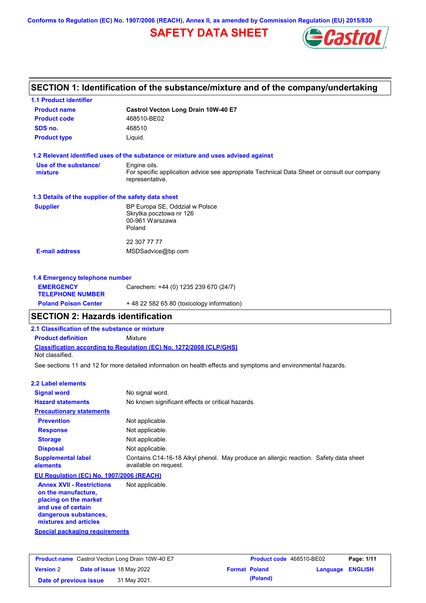**Conforms to Regulation (EC) No. 1907/2006 (REACH), Annex II, as amended by Commission Regulation (EU) 2015/830**

# **SAFETY DATA SHEET**



| <b>1.1 Product identifier</b>                        |                                                                                                                |
|------------------------------------------------------|----------------------------------------------------------------------------------------------------------------|
| <b>Product name</b>                                  | Castrol Vecton Long Drain 10W-40 E7                                                                            |
| <b>Product code</b>                                  | 468510-BE02                                                                                                    |
| SDS no.                                              | 468510                                                                                                         |
| <b>Product type</b>                                  | Liquid.                                                                                                        |
|                                                      | 1.2 Relevant identified uses of the substance or mixture and uses advised against                              |
| Use of the substance/                                | Engine oils.                                                                                                   |
| mixture                                              | For specific application advice see appropriate Technical Data Sheet or consult our company<br>representative. |
| 1.3 Details of the supplier of the safety data sheet |                                                                                                                |
| <b>Supplier</b>                                      | BP Europa SE, Oddział w Polsce                                                                                 |
|                                                      | Skrytka pocztowa nr 126                                                                                        |
|                                                      | 00-961 Warszawa<br>Poland                                                                                      |
|                                                      |                                                                                                                |
|                                                      | 22 307 77 77                                                                                                   |
| <b>E-mail address</b>                                | MSDSadvice@bp.com                                                                                              |
| 1.4 Emergency telephone number                       |                                                                                                                |
| <b>EMERGENCY</b>                                     | Carechem: +44 (0) 1235 239 670 (24/7)                                                                          |

| <b>TELEPHONE NUMBER</b>     |                                           |
|-----------------------------|-------------------------------------------|
| <b>Poland Poison Center</b> | +48 22 582 65 80 (toxicology information) |
|                             |                                           |

# **SECTION 2: Hazards identification**

**2.1 Classification of the substance or mixture**

**Product definition** Mixture

**Classification according to Regulation (EC) No. 1272/2008 [CLP/GHS]** Not classified.

See sections 11 and 12 for more detailed information on health effects and symptoms and environmental hazards.

#### **2.2 Label elements**

| <b>Signal word</b>                                                                                     | No signal word.                                                                                               |  |  |
|--------------------------------------------------------------------------------------------------------|---------------------------------------------------------------------------------------------------------------|--|--|
| <b>Hazard statements</b>                                                                               | No known significant effects or critical hazards.                                                             |  |  |
| <b>Precautionary statements</b>                                                                        |                                                                                                               |  |  |
| <b>Prevention</b>                                                                                      | Not applicable.                                                                                               |  |  |
| <b>Response</b>                                                                                        | Not applicable.                                                                                               |  |  |
| <b>Storage</b>                                                                                         | Not applicable.                                                                                               |  |  |
| <b>Disposal</b>                                                                                        | Not applicable.                                                                                               |  |  |
| <b>Supplemental label</b><br>elements                                                                  | Contains C14-16-18 Alkyl phenol. May produce an allergic reaction. Safety data sheet<br>available on request. |  |  |
| EU Regulation (EC) No. 1907/2006 (REACH)                                                               |                                                                                                               |  |  |
| <b>Annex XVII - Restrictions</b><br>on the manufacture,<br>placing on the market<br>and use of certain | Not applicable.                                                                                               |  |  |

**dangerous substances, mixtures and articles**

**Special packaging requirements**

| <b>Product name</b> Castrol Vecton Long Drain 10W-40 E7 |                                  |              | Product code 468510-BE02 |          | Page: 1/11              |  |
|---------------------------------------------------------|----------------------------------|--------------|--------------------------|----------|-------------------------|--|
| <b>Version 2</b>                                        | <b>Date of issue 18 May 2022</b> |              | <b>Format Poland</b>     |          | <b>Language ENGLISH</b> |  |
| Date of previous issue                                  |                                  | 31 May 2021. |                          | (Poland) |                         |  |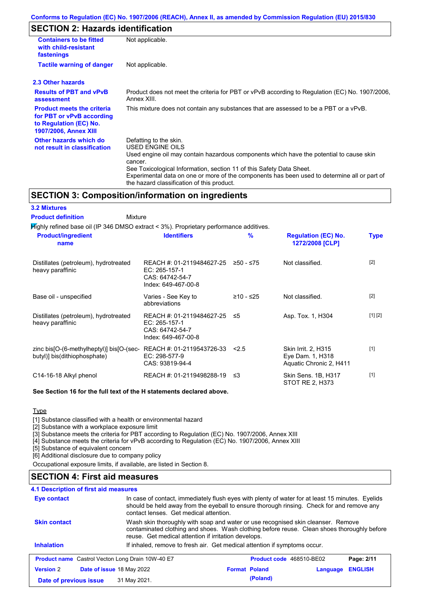### **SECTION 2: Hazards identification**

| <b>Containers to be fitted</b><br>with child-resistant<br>fastenings                                                     | Not applicable.                                                                                                                                                                                                                                                                                                                                                        |
|--------------------------------------------------------------------------------------------------------------------------|------------------------------------------------------------------------------------------------------------------------------------------------------------------------------------------------------------------------------------------------------------------------------------------------------------------------------------------------------------------------|
| <b>Tactile warning of danger</b>                                                                                         | Not applicable.                                                                                                                                                                                                                                                                                                                                                        |
| 2.3 Other hazards                                                                                                        |                                                                                                                                                                                                                                                                                                                                                                        |
| <b>Results of PBT and vPvB</b><br>assessment                                                                             | Product does not meet the criteria for PBT or vPvB according to Regulation (EC) No. 1907/2006,<br>Annex XIII.                                                                                                                                                                                                                                                          |
| <b>Product meets the criteria</b><br>for PBT or vPvB according<br>to Regulation (EC) No.<br><b>1907/2006, Annex XIII</b> | This mixture does not contain any substances that are assessed to be a PBT or a vPvB.                                                                                                                                                                                                                                                                                  |
| Other hazards which do<br>not result in classification                                                                   | Defatting to the skin.<br>USED ENGINE OILS<br>Used engine oil may contain hazardous components which have the potential to cause skin<br>cancer.<br>See Toxicological Information, section 11 of this Safety Data Sheet.<br>Experimental data on one or more of the components has been used to determine all or part of<br>the hazard classification of this product. |

### **SECTION 3: Composition/information on ingredients**

| <b>3.2 Mixtures</b>                                                                       |                                                                                      |               |                                                                           |             |
|-------------------------------------------------------------------------------------------|--------------------------------------------------------------------------------------|---------------|---------------------------------------------------------------------------|-------------|
| <b>Product definition</b><br>Mixture                                                      |                                                                                      |               |                                                                           |             |
| $H$ ighly refined base oil (IP 346 DMSO extract < 3%). Proprietary performance additives. |                                                                                      |               |                                                                           |             |
| <b>Product/ingredient</b><br>name                                                         | <b>Identifiers</b>                                                                   | $\frac{9}{6}$ | <b>Regulation (EC) No.</b><br>1272/2008 [CLP]                             | <b>Type</b> |
| Distillates (petroleum), hydrotreated<br>heavy paraffinic                                 | REACH #: 01-2119484627-25<br>EC: 265-157-1<br>CAS: 64742-54-7<br>Index: 649-467-00-8 | $≥50 - ≤75$   | Not classified.                                                           | $[2]$       |
| Base oil - unspecified                                                                    | Varies - See Key to<br>abbreviations                                                 | $≥10 - ≤25$   | Not classified.                                                           | $[2]$       |
| Distillates (petroleum), hydrotreated<br>heavy paraffinic                                 | REACH #: 01-2119484627-25<br>EC: 265-157-1<br>CAS: 64742-54-7<br>Index: 649-467-00-8 | ≤5            | Asp. Tox. 1, H304                                                         | [1] [2]     |
| zinc bis[O-(6-methylheptyl)] bis[O-(sec-<br>butyl)] bis(dithiophosphate)                  | REACH #: 01-2119543726-33<br>EC: 298-577-9<br>CAS: 93819-94-4                        | 2.5           | <b>Skin Irrit. 2, H315</b><br>Eye Dam. 1, H318<br>Aquatic Chronic 2, H411 | $[1]$       |
| C14-16-18 Alkyl phenol                                                                    | REACH #: 01-2119498288-19                                                            | ≤3            | Skin Sens. 1B, H317<br>STOT RE 2, H373                                    | [1]         |

#### **See Section 16 for the full text of the H statements declared above.**

**Type** 

[1] Substance classified with a health or environmental hazard

[2] Substance with a workplace exposure limit

[3] Substance meets the criteria for PBT according to Regulation (EC) No. 1907/2006, Annex XIII

[4] Substance meets the criteria for vPvB according to Regulation (EC) No. 1907/2006, Annex XIII

[5] Substance of equivalent concern

[6] Additional disclosure due to company policy

Occupational exposure limits, if available, are listed in Section 8.

### **SECTION 4: First aid measures**

### In case of contact, immediately flush eyes with plenty of water for at least 15 minutes. Eyelids should be held away from the eyeball to ensure thorough rinsing. Check for and remove any contact lenses. Get medical attention. **4.1 Description of first aid measures Inhalation** If inhaled, remove to fresh air. Get medical attention if symptoms occur. **Eye contact Skin contact** Wash skin thoroughly with soap and water or use recognised skin cleanser. Remove contaminated clothing and shoes. Wash clothing before reuse. Clean shoes thoroughly before reuse. Get medical attention if irritation develops. **Product name** Castrol Vecton Long Drain 10W-40 E7 **Product Code** 468510-BE02 **Page: 2/11 Version** 2 **Date of issue** 18 May 2022 **Format Poland Language ENGLISH Date of previous issue** 31 May 2021.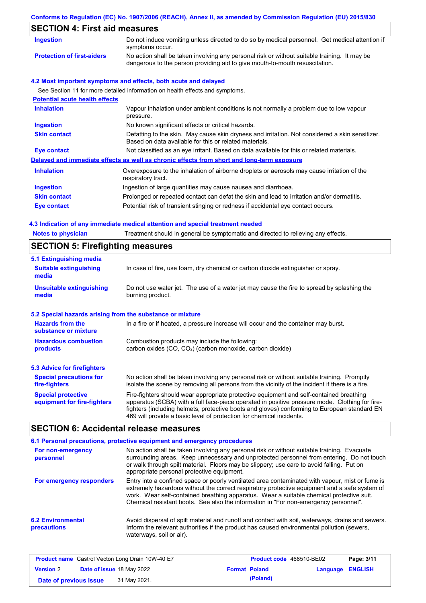# **Conforms to Regulation (EC) No. 1907/2006 (REACH), Annex II, as amended by Commission Regulation (EU) 2015/830 SECTION 4: First aid measures**

| <b>Ingestion</b>                      | Do not induce vomiting unless directed to do so by medical personnel. Get medical attention if<br>symptoms occur.                                                           |  |
|---------------------------------------|-----------------------------------------------------------------------------------------------------------------------------------------------------------------------------|--|
| <b>Protection of first-aiders</b>     | No action shall be taken involving any personal risk or without suitable training. It may be<br>dangerous to the person providing aid to give mouth-to-mouth resuscitation. |  |
|                                       | 4.2 Most important symptoms and effects, both acute and delayed                                                                                                             |  |
|                                       | See Section 11 for more detailed information on health effects and symptoms.                                                                                                |  |
| <b>Potential acute health effects</b> |                                                                                                                                                                             |  |
| <b>Inhalation</b>                     | Vapour inhalation under ambient conditions is not normally a problem due to low vapour<br>pressure.                                                                         |  |
| <b>Ingestion</b>                      | No known significant effects or critical hazards.                                                                                                                           |  |
| <b>Skin contact</b>                   | Defatting to the skin. May cause skin dryness and irritation. Not considered a skin sensitizer.<br>Based on data available for this or related materials.                   |  |
| Eye contact                           | Not classified as an eye irritant. Based on data available for this or related materials.                                                                                   |  |
|                                       | Delayed and immediate effects as well as chronic effects from short and long-term exposure                                                                                  |  |
| <b>Inhalation</b>                     | Overexposure to the inhalation of airborne droplets or aerosols may cause irritation of the<br>respiratory tract.                                                           |  |
| <b>Ingestion</b>                      | Ingestion of large quantities may cause nausea and diarrhoea.                                                                                                               |  |
| <b>Skin contact</b>                   | Prolonged or repeated contact can defat the skin and lead to irritation and/or dermatitis.                                                                                  |  |

**Eye contact** Potential risk of transient stinging or redness if accidental eye contact occurs.

### **4.3 Indication of any immediate medical attention and special treatment needed**

|                                                                               | 4.3 Indication of any immediate medical attention and special treatment needed                                                                                                                                                                                                                                                                                    |  |  |  |  |
|-------------------------------------------------------------------------------|-------------------------------------------------------------------------------------------------------------------------------------------------------------------------------------------------------------------------------------------------------------------------------------------------------------------------------------------------------------------|--|--|--|--|
| <b>Notes to physician</b>                                                     | Treatment should in general be symptomatic and directed to relieving any effects.                                                                                                                                                                                                                                                                                 |  |  |  |  |
| <b>SECTION 5: Firefighting measures</b>                                       |                                                                                                                                                                                                                                                                                                                                                                   |  |  |  |  |
| 5.1 Extinguishing media                                                       |                                                                                                                                                                                                                                                                                                                                                                   |  |  |  |  |
| <b>Suitable extinguishing</b><br>media                                        | In case of fire, use foam, dry chemical or carbon dioxide extinguisher or spray.                                                                                                                                                                                                                                                                                  |  |  |  |  |
| <b>Unsuitable extinguishing</b><br>media                                      | Do not use water jet. The use of a water jet may cause the fire to spread by splashing the<br>burning product.                                                                                                                                                                                                                                                    |  |  |  |  |
| 5.2 Special hazards arising from the substance or mixture                     |                                                                                                                                                                                                                                                                                                                                                                   |  |  |  |  |
| <b>Hazards from the</b><br>substance or mixture                               | In a fire or if heated, a pressure increase will occur and the container may burst.                                                                                                                                                                                                                                                                               |  |  |  |  |
| <b>Hazardous combustion</b><br>Combustion products may include the following: |                                                                                                                                                                                                                                                                                                                                                                   |  |  |  |  |
| products                                                                      | carbon oxides (CO, CO <sub>2</sub> ) (carbon monoxide, carbon dioxide)                                                                                                                                                                                                                                                                                            |  |  |  |  |
| 5.3 Advice for firefighters                                                   |                                                                                                                                                                                                                                                                                                                                                                   |  |  |  |  |
| <b>Special precautions for</b><br>fire-fighters                               | No action shall be taken involving any personal risk or without suitable training. Promptly<br>isolate the scene by removing all persons from the vicinity of the incident if there is a fire.                                                                                                                                                                    |  |  |  |  |
| <b>Special protective</b><br>equipment for fire-fighters                      | Fire-fighters should wear appropriate protective equipment and self-contained breathing<br>apparatus (SCBA) with a full face-piece operated in positive pressure mode. Clothing for fire-<br>fighters (including helmets, protective boots and gloves) conforming to European standard EN<br>469 will provide a basic level of protection for chemical incidents. |  |  |  |  |

## **SECTION 6: Accidental release measures**

|                                         | 6.1 Personal precautions, protective equipment and emergency procedures                                                                                                                                                                                                                                                                                                              |
|-----------------------------------------|--------------------------------------------------------------------------------------------------------------------------------------------------------------------------------------------------------------------------------------------------------------------------------------------------------------------------------------------------------------------------------------|
| For non-emergency<br>personnel          | No action shall be taken involving any personal risk or without suitable training. Evacuate<br>surrounding areas. Keep unnecessary and unprotected personnel from entering. Do not touch<br>or walk through spilt material. Floors may be slippery; use care to avoid falling. Put on<br>appropriate personal protective equipment.                                                  |
| For emergency responders                | Entry into a confined space or poorly ventilated area contaminated with vapour, mist or fume is<br>extremely hazardous without the correct respiratory protective equipment and a safe system of<br>work. Wear self-contained breathing apparatus. Wear a suitable chemical protective suit.<br>Chemical resistant boots. See also the information in "For non-emergency personnel". |
| <b>6.2 Environmental</b><br>precautions | Avoid dispersal of spilt material and runoff and contact with soil, waterways, drains and sewers.<br>Inform the relevant authorities if the product has caused environmental pollution (sewers,<br>waterways, soil or air).                                                                                                                                                          |

|                        | <b>Product name</b> Castrol Vecton Long Drain 10W-40 E7 |                      | <b>Product code</b> 468510-BE02 |                         | Page: 3/11 |
|------------------------|---------------------------------------------------------|----------------------|---------------------------------|-------------------------|------------|
| <b>Version 2</b>       | <b>Date of issue 18 May 2022</b>                        | <b>Format Poland</b> |                                 | <b>Language ENGLISH</b> |            |
| Date of previous issue | 31 May 2021.                                            |                      | (Poland)                        |                         |            |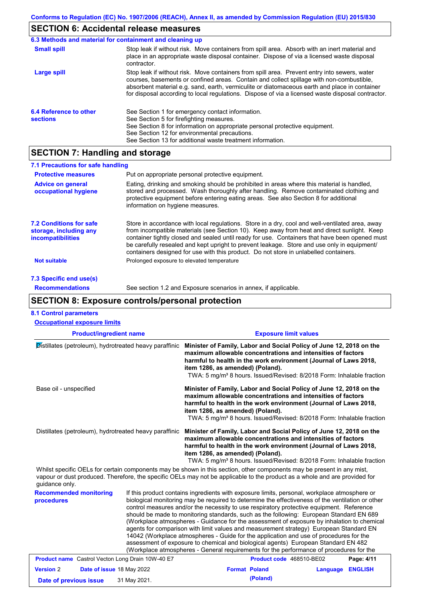# **SECTION 6: Accidental release measures**

|                                           | 6.3 Methods and material for containment and cleaning up                                                                                                                                                                                                                                                                                                                                       |
|-------------------------------------------|------------------------------------------------------------------------------------------------------------------------------------------------------------------------------------------------------------------------------------------------------------------------------------------------------------------------------------------------------------------------------------------------|
| <b>Small spill</b>                        | Stop leak if without risk. Move containers from spill area. Absorb with an inert material and<br>place in an appropriate waste disposal container. Dispose of via a licensed waste disposal<br>contractor.                                                                                                                                                                                     |
| Large spill                               | Stop leak if without risk. Move containers from spill area. Prevent entry into sewers, water<br>courses, basements or confined areas. Contain and collect spillage with non-combustible,<br>absorbent material e.g. sand, earth, vermiculite or diatomaceous earth and place in container<br>for disposal according to local regulations. Dispose of via a licensed waste disposal contractor. |
| 6.4 Reference to other<br><b>sections</b> | See Section 1 for emergency contact information.<br>See Section 5 for firefighting measures.<br>See Section 8 for information on appropriate personal protective equipment.<br>See Section 12 for environmental precautions.<br>See Section 13 for additional waste treatment information.                                                                                                     |

# **SECTION 7: Handling and storage**

| 7.1 Precautions for safe handling                                             |                                                                                                                                                                                                                                                                                                                                                                                                                                                                                          |
|-------------------------------------------------------------------------------|------------------------------------------------------------------------------------------------------------------------------------------------------------------------------------------------------------------------------------------------------------------------------------------------------------------------------------------------------------------------------------------------------------------------------------------------------------------------------------------|
| <b>Protective measures</b>                                                    | Put on appropriate personal protective equipment.                                                                                                                                                                                                                                                                                                                                                                                                                                        |
| <b>Advice on general</b><br>occupational hygiene                              | Eating, drinking and smoking should be prohibited in areas where this material is handled,<br>stored and processed. Wash thoroughly after handling. Remove contaminated clothing and<br>protective equipment before entering eating areas. See also Section 8 for additional<br>information on hygiene measures.                                                                                                                                                                         |
| <b>7.2 Conditions for safe</b><br>storage, including any<br>incompatibilities | Store in accordance with local regulations. Store in a dry, cool and well-ventilated area, away<br>from incompatible materials (see Section 10). Keep away from heat and direct sunlight. Keep<br>container tightly closed and sealed until ready for use. Containers that have been opened must<br>be carefully resealed and kept upright to prevent leakage. Store and use only in equipment/<br>containers designed for use with this product. Do not store in unlabelled containers. |
| <b>Not suitable</b>                                                           | Prolonged exposure to elevated temperature                                                                                                                                                                                                                                                                                                                                                                                                                                               |
| 7.3 Specific end use(s)                                                       |                                                                                                                                                                                                                                                                                                                                                                                                                                                                                          |
| <b>Recommendations</b>                                                        | See section 1.2 and Exposure scenarios in annex, if applicable.                                                                                                                                                                                                                                                                                                                                                                                                                          |

# **SECTION 8: Exposure controls/personal protection**

| <b>8.1 Control parameters</b><br><b>Occupational exposure limits</b>                                                                                                                                                                                                   |              |                                                                                                                                                                                                                                                                                                                                                                                                                                                                                                                                                                                                                                                                                                                                                                                                                                                            |                          |                  |            |  |
|------------------------------------------------------------------------------------------------------------------------------------------------------------------------------------------------------------------------------------------------------------------------|--------------|------------------------------------------------------------------------------------------------------------------------------------------------------------------------------------------------------------------------------------------------------------------------------------------------------------------------------------------------------------------------------------------------------------------------------------------------------------------------------------------------------------------------------------------------------------------------------------------------------------------------------------------------------------------------------------------------------------------------------------------------------------------------------------------------------------------------------------------------------------|--------------------------|------------------|------------|--|
| <b>Product/ingredient name</b>                                                                                                                                                                                                                                         |              | <b>Exposure limit values</b>                                                                                                                                                                                                                                                                                                                                                                                                                                                                                                                                                                                                                                                                                                                                                                                                                               |                          |                  |            |  |
| Distillates (petroleum), hydrotreated heavy paraffinic<br>Base oil - unspecified                                                                                                                                                                                       |              | Minister of Family, Labor and Social Policy of June 12, 2018 on the<br>maximum allowable concentrations and intensities of factors<br>harmful to health in the work environment (Journal of Laws 2018,<br>item 1286, as amended) (Poland).<br>TWA: 5 mg/m <sup>3</sup> 8 hours. Issued/Revised: 8/2018 Form: Inhalable fraction<br>Minister of Family, Labor and Social Policy of June 12, 2018 on the<br>maximum allowable concentrations and intensities of factors<br>harmful to health in the work environment (Journal of Laws 2018,<br>item 1286, as amended) (Poland).<br>TWA: 5 mg/m <sup>3</sup> 8 hours. Issued/Revised: 8/2018 Form: Inhalable fraction                                                                                                                                                                                         |                          |                  |            |  |
|                                                                                                                                                                                                                                                                        |              |                                                                                                                                                                                                                                                                                                                                                                                                                                                                                                                                                                                                                                                                                                                                                                                                                                                            |                          |                  |            |  |
| Whilst specific OELs for certain components may be shown in this section, other components may be present in any mist,<br>vapour or dust produced. Therefore, the specific OELs may not be applicable to the product as a whole and are provided for<br>quidance only. |              |                                                                                                                                                                                                                                                                                                                                                                                                                                                                                                                                                                                                                                                                                                                                                                                                                                                            |                          |                  |            |  |
| <b>Recommended monitoring</b><br>procedures                                                                                                                                                                                                                            |              | If this product contains ingredients with exposure limits, personal, workplace atmosphere or<br>biological monitoring may be required to determine the effectiveness of the ventilation or other<br>control measures and/or the necessity to use respiratory protective equipment. Reference<br>should be made to monitoring standards, such as the following: European Standard EN 689<br>(Workplace atmospheres - Guidance for the assessment of exposure by inhalation to chemical<br>agents for comparison with limit values and measurement strategy) European Standard EN<br>14042 (Workplace atmospheres - Guide for the application and use of procedures for the<br>assessment of exposure to chemical and biological agents) European Standard EN 482<br>(Workplace atmospheres - General requirements for the performance of procedures for the |                          |                  |            |  |
| <b>Product name</b> Castrol Vecton Long Drain 10W-40 E7                                                                                                                                                                                                                |              |                                                                                                                                                                                                                                                                                                                                                                                                                                                                                                                                                                                                                                                                                                                                                                                                                                                            | Product code 468510-BE02 |                  | Page: 4/11 |  |
| <b>Version 2</b><br>Date of issue 18 May 2022                                                                                                                                                                                                                          |              |                                                                                                                                                                                                                                                                                                                                                                                                                                                                                                                                                                                                                                                                                                                                                                                                                                                            | <b>Format Poland</b>     | Language ENGLISH |            |  |
| Date of previous issue                                                                                                                                                                                                                                                 | 31 May 2021. |                                                                                                                                                                                                                                                                                                                                                                                                                                                                                                                                                                                                                                                                                                                                                                                                                                                            | (Poland)                 |                  |            |  |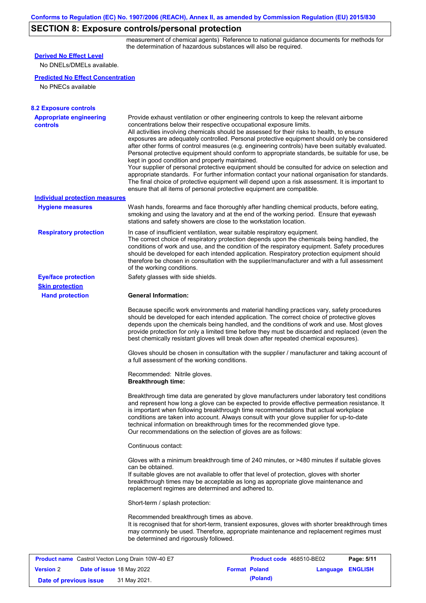# **SECTION 8: Exposure controls/personal protection**

measurement of chemical agents) Reference to national guidance documents for methods for the determination of hazardous substances will also be required.

| <b>Derived No Effect Level</b>                          |                                                                                                                                                                                                                                                                                                                                                                                                                                                                                                       |                          |                                                                                                                                                                                                                                                                                                                                                                                                                                                                                                                                                                                                            |
|---------------------------------------------------------|-------------------------------------------------------------------------------------------------------------------------------------------------------------------------------------------------------------------------------------------------------------------------------------------------------------------------------------------------------------------------------------------------------------------------------------------------------------------------------------------------------|--------------------------|------------------------------------------------------------------------------------------------------------------------------------------------------------------------------------------------------------------------------------------------------------------------------------------------------------------------------------------------------------------------------------------------------------------------------------------------------------------------------------------------------------------------------------------------------------------------------------------------------------|
| No DNELs/DMELs available.                               |                                                                                                                                                                                                                                                                                                                                                                                                                                                                                                       |                          |                                                                                                                                                                                                                                                                                                                                                                                                                                                                                                                                                                                                            |
| <b>Predicted No Effect Concentration</b>                |                                                                                                                                                                                                                                                                                                                                                                                                                                                                                                       |                          |                                                                                                                                                                                                                                                                                                                                                                                                                                                                                                                                                                                                            |
| No PNECs available                                      |                                                                                                                                                                                                                                                                                                                                                                                                                                                                                                       |                          |                                                                                                                                                                                                                                                                                                                                                                                                                                                                                                                                                                                                            |
|                                                         |                                                                                                                                                                                                                                                                                                                                                                                                                                                                                                       |                          |                                                                                                                                                                                                                                                                                                                                                                                                                                                                                                                                                                                                            |
| <b>8.2 Exposure controls</b>                            |                                                                                                                                                                                                                                                                                                                                                                                                                                                                                                       |                          |                                                                                                                                                                                                                                                                                                                                                                                                                                                                                                                                                                                                            |
| <b>Appropriate engineering</b><br><b>controls</b>       | Provide exhaust ventilation or other engineering controls to keep the relevant airborne<br>concentrations below their respective occupational exposure limits.<br>All activities involving chemicals should be assessed for their risks to health, to ensure<br>kept in good condition and properly maintained.<br>ensure that all items of personal protective equipment are compatible.                                                                                                             |                          | exposures are adequately controlled. Personal protective equipment should only be considered<br>after other forms of control measures (e.g. engineering controls) have been suitably evaluated.<br>Personal protective equipment should conform to appropriate standards, be suitable for use, be<br>Your supplier of personal protective equipment should be consulted for advice on selection and<br>appropriate standards. For further information contact your national organisation for standards.<br>The final choice of protective equipment will depend upon a risk assessment. It is important to |
| <b>Individual protection measures</b>                   |                                                                                                                                                                                                                                                                                                                                                                                                                                                                                                       |                          |                                                                                                                                                                                                                                                                                                                                                                                                                                                                                                                                                                                                            |
| <b>Hygiene measures</b>                                 | Wash hands, forearms and face thoroughly after handling chemical products, before eating,<br>smoking and using the lavatory and at the end of the working period. Ensure that eyewash<br>stations and safety showers are close to the workstation location.                                                                                                                                                                                                                                           |                          |                                                                                                                                                                                                                                                                                                                                                                                                                                                                                                                                                                                                            |
| <b>Respiratory protection</b>                           | In case of insufficient ventilation, wear suitable respiratory equipment.<br>The correct choice of respiratory protection depends upon the chemicals being handled, the<br>conditions of work and use, and the condition of the respiratory equipment. Safety procedures<br>should be developed for each intended application. Respiratory protection equipment should<br>therefore be chosen in consultation with the supplier/manufacturer and with a full assessment<br>of the working conditions. |                          |                                                                                                                                                                                                                                                                                                                                                                                                                                                                                                                                                                                                            |
| <b>Eye/face protection</b>                              | Safety glasses with side shields.                                                                                                                                                                                                                                                                                                                                                                                                                                                                     |                          |                                                                                                                                                                                                                                                                                                                                                                                                                                                                                                                                                                                                            |
| <b>Skin protection</b>                                  |                                                                                                                                                                                                                                                                                                                                                                                                                                                                                                       |                          |                                                                                                                                                                                                                                                                                                                                                                                                                                                                                                                                                                                                            |
| <b>Hand protection</b>                                  | <b>General Information:</b>                                                                                                                                                                                                                                                                                                                                                                                                                                                                           |                          |                                                                                                                                                                                                                                                                                                                                                                                                                                                                                                                                                                                                            |
|                                                         | Because specific work environments and material handling practices vary, safety procedures<br>should be developed for each intended application. The correct choice of protective gloves<br>depends upon the chemicals being handled, and the conditions of work and use. Most gloves<br>best chemically resistant gloves will break down after repeated chemical exposures).                                                                                                                         |                          | provide protection for only a limited time before they must be discarded and replaced (even the                                                                                                                                                                                                                                                                                                                                                                                                                                                                                                            |
|                                                         | a full assessment of the working conditions.                                                                                                                                                                                                                                                                                                                                                                                                                                                          |                          | Gloves should be chosen in consultation with the supplier / manufacturer and taking account of                                                                                                                                                                                                                                                                                                                                                                                                                                                                                                             |
|                                                         | Recommended: Nitrile gloves.<br><b>Breakthrough time:</b>                                                                                                                                                                                                                                                                                                                                                                                                                                             |                          |                                                                                                                                                                                                                                                                                                                                                                                                                                                                                                                                                                                                            |
|                                                         | is important when following breakthrough time recommendations that actual workplace<br>conditions are taken into account. Always consult with your glove supplier for up-to-date<br>technical information on breakthrough times for the recommended glove type.<br>Our recommendations on the selection of gloves are as follows:                                                                                                                                                                     |                          | Breakthrough time data are generated by glove manufacturers under laboratory test conditions<br>and represent how long a glove can be expected to provide effective permeation resistance. It                                                                                                                                                                                                                                                                                                                                                                                                              |
|                                                         | Continuous contact:                                                                                                                                                                                                                                                                                                                                                                                                                                                                                   |                          |                                                                                                                                                                                                                                                                                                                                                                                                                                                                                                                                                                                                            |
|                                                         | Gloves with a minimum breakthrough time of 240 minutes, or >480 minutes if suitable gloves<br>can be obtained.<br>If suitable gloves are not available to offer that level of protection, gloves with shorter<br>breakthrough times may be acceptable as long as appropriate glove maintenance and<br>replacement regimes are determined and adhered to.                                                                                                                                              |                          |                                                                                                                                                                                                                                                                                                                                                                                                                                                                                                                                                                                                            |
|                                                         | Short-term / splash protection:                                                                                                                                                                                                                                                                                                                                                                                                                                                                       |                          |                                                                                                                                                                                                                                                                                                                                                                                                                                                                                                                                                                                                            |
|                                                         | Recommended breakthrough times as above.<br>may commonly be used. Therefore, appropriate maintenance and replacement regimes must<br>be determined and rigorously followed.                                                                                                                                                                                                                                                                                                                           |                          | It is recognised that for short-term, transient exposures, gloves with shorter breakthrough times                                                                                                                                                                                                                                                                                                                                                                                                                                                                                                          |
| <b>Product name</b> Castrol Vecton Long Drain 10W-40 E7 |                                                                                                                                                                                                                                                                                                                                                                                                                                                                                                       | Product code 468510-BE02 | Page: 5/11                                                                                                                                                                                                                                                                                                                                                                                                                                                                                                                                                                                                 |
| <b>Version 2</b><br>Date of issue 18 May 2022           |                                                                                                                                                                                                                                                                                                                                                                                                                                                                                                       | <b>Format Poland</b>     | <b>ENGLISH</b><br><b>Language</b>                                                                                                                                                                                                                                                                                                                                                                                                                                                                                                                                                                          |

**Date of previous issue (Poland)** 31 May 2021.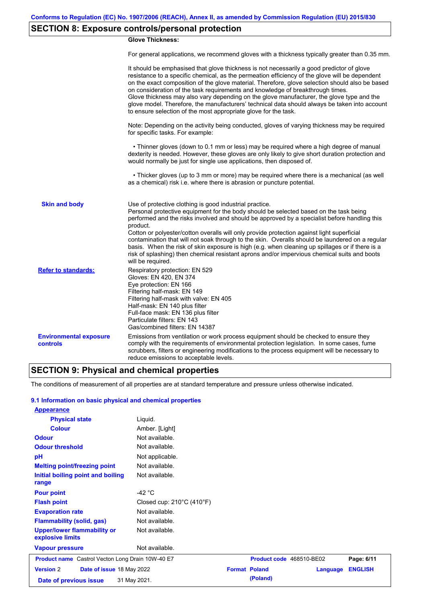# **SECTION 8: Exposure controls/personal protection**

### **Glove Thickness:**

For general applications, we recommend gloves with a thickness typically greater than 0.35 mm.

|                                                  | It should be emphasised that glove thickness is not necessarily a good predictor of glove<br>resistance to a specific chemical, as the permeation efficiency of the glove will be dependent<br>on the exact composition of the glove material. Therefore, glove selection should also be based<br>on consideration of the task requirements and knowledge of breakthrough times.<br>Glove thickness may also vary depending on the glove manufacturer, the glove type and the<br>glove model. Therefore, the manufacturers' technical data should always be taken into account<br>to ensure selection of the most appropriate glove for the task.                                     |
|--------------------------------------------------|---------------------------------------------------------------------------------------------------------------------------------------------------------------------------------------------------------------------------------------------------------------------------------------------------------------------------------------------------------------------------------------------------------------------------------------------------------------------------------------------------------------------------------------------------------------------------------------------------------------------------------------------------------------------------------------|
|                                                  | Note: Depending on the activity being conducted, gloves of varying thickness may be required<br>for specific tasks. For example:                                                                                                                                                                                                                                                                                                                                                                                                                                                                                                                                                      |
|                                                  | • Thinner gloves (down to 0.1 mm or less) may be required where a high degree of manual<br>dexterity is needed. However, these gloves are only likely to give short duration protection and<br>would normally be just for single use applications, then disposed of.                                                                                                                                                                                                                                                                                                                                                                                                                  |
|                                                  | • Thicker gloves (up to 3 mm or more) may be required where there is a mechanical (as well<br>as a chemical) risk i.e. where there is abrasion or puncture potential.                                                                                                                                                                                                                                                                                                                                                                                                                                                                                                                 |
| <b>Skin and body</b>                             | Use of protective clothing is good industrial practice.<br>Personal protective equipment for the body should be selected based on the task being<br>performed and the risks involved and should be approved by a specialist before handling this<br>product.<br>Cotton or polyester/cotton overalls will only provide protection against light superficial<br>contamination that will not soak through to the skin. Overalls should be laundered on a regular<br>basis. When the risk of skin exposure is high (e.g. when cleaning up spillages or if there is a<br>risk of splashing) then chemical resistant aprons and/or impervious chemical suits and boots<br>will be required. |
| <b>Refer to standards:</b>                       | Respiratory protection: EN 529<br>Gloves: EN 420, EN 374<br>Eye protection: EN 166<br>Filtering half-mask: EN 149<br>Filtering half-mask with valve: EN 405<br>Half-mask: EN 140 plus filter<br>Full-face mask: EN 136 plus filter<br>Particulate filters: EN 143<br>Gas/combined filters: EN 14387                                                                                                                                                                                                                                                                                                                                                                                   |
| <b>Environmental exposure</b><br><b>controls</b> | Emissions from ventilation or work process equipment should be checked to ensure they<br>comply with the requirements of environmental protection legislation. In some cases, fume<br>scrubbers, filters or engineering modifications to the process equipment will be necessary to<br>reduce emissions to acceptable levels.                                                                                                                                                                                                                                                                                                                                                         |

### **SECTION 9: Physical and chemical properties**

The conditions of measurement of all properties are at standard temperature and pressure unless otherwise indicated.

#### **9.1 Information on basic physical and chemical properties**

| <b>Appearance</b>                                       |                                                |                          |          |                |
|---------------------------------------------------------|------------------------------------------------|--------------------------|----------|----------------|
| <b>Physical state</b>                                   | Liquid.                                        |                          |          |                |
| <b>Colour</b>                                           | Amber. [Light]                                 |                          |          |                |
| <b>Odour</b>                                            | Not available.                                 |                          |          |                |
| <b>Odour threshold</b>                                  | Not available.                                 |                          |          |                |
| pH                                                      | Not applicable.                                |                          |          |                |
| <b>Melting point/freezing point</b>                     | Not available.                                 |                          |          |                |
| Initial boiling point and boiling<br>range              | Not available.                                 |                          |          |                |
| <b>Pour point</b>                                       | -42 $^{\circ}$ C                               |                          |          |                |
| <b>Flash point</b>                                      | Closed cup: $210^{\circ}$ C (410 $^{\circ}$ F) |                          |          |                |
| <b>Evaporation rate</b>                                 | Not available.                                 |                          |          |                |
| <b>Flammability (solid, gas)</b>                        | Not available.                                 |                          |          |                |
| <b>Upper/lower flammability or</b><br>explosive limits  | Not available.                                 |                          |          |                |
| <b>Vapour pressure</b>                                  | Not available.                                 |                          |          |                |
| <b>Product name</b> Castrol Vecton Long Drain 10W-40 E7 |                                                | Product code 468510-BE02 |          | Page: 6/11     |
| <b>Version 2</b><br>Date of issue 18 May 2022           |                                                | <b>Format Poland</b>     | Language | <b>ENGLISH</b> |
| Date of previous issue                                  | 31 May 2021.                                   | (Poland)                 |          |                |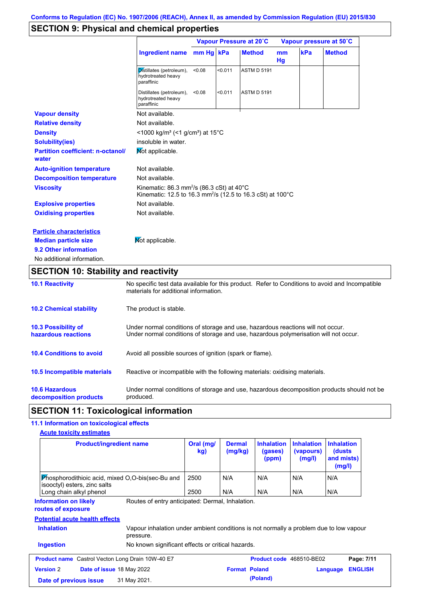# **SECTION 9: Physical and chemical properties**

|                                                   |                                                                                                                                            |           | Vapour Pressure at 20°C |                    |          | Vapour pressure at 50°C |               |  |
|---------------------------------------------------|--------------------------------------------------------------------------------------------------------------------------------------------|-----------|-------------------------|--------------------|----------|-------------------------|---------------|--|
|                                                   | <b>Ingredient name</b>                                                                                                                     | mm Hg kPa |                         | <b>Method</b>      | mm<br>Hg | kPa                     | <b>Method</b> |  |
|                                                   | Distillates (petroleum),<br>hydrotreated heavy<br>paraffinic                                                                               | < 0.08    | < 0.011                 | <b>ASTM D 5191</b> |          |                         |               |  |
|                                                   | Distillates (petroleum),<br>hydrotreated heavy<br>paraffinic                                                                               | < 0.08    | < 0.011                 | <b>ASTM D 5191</b> |          |                         |               |  |
| <b>Vapour density</b>                             | Not available.                                                                                                                             |           |                         |                    |          |                         |               |  |
| <b>Relative density</b>                           | Not available.                                                                                                                             |           |                         |                    |          |                         |               |  |
| <b>Density</b>                                    | <1000 kg/m <sup>3</sup> (<1 g/cm <sup>3</sup> ) at 15 <sup>°</sup> C                                                                       |           |                         |                    |          |                         |               |  |
| <b>Solubility(ies)</b>                            | insoluble in water.                                                                                                                        |           |                         |                    |          |                         |               |  |
| <b>Partition coefficient: n-octanol/</b><br>water | Mot applicable.                                                                                                                            |           |                         |                    |          |                         |               |  |
| <b>Auto-ignition temperature</b>                  | Not available.                                                                                                                             |           |                         |                    |          |                         |               |  |
| <b>Decomposition temperature</b>                  | Not available.                                                                                                                             |           |                         |                    |          |                         |               |  |
| <b>Viscosity</b>                                  | Kinematic: 86.3 mm <sup>2</sup> /s (86.3 cSt) at 40 $^{\circ}$ C<br>Kinematic: 12.5 to 16.3 mm <sup>2</sup> /s (12.5 to 16.3 cSt) at 100°C |           |                         |                    |          |                         |               |  |
| <b>Explosive properties</b>                       | Not available.                                                                                                                             |           |                         |                    |          |                         |               |  |
| <b>Oxidising properties</b>                       | Not available.                                                                                                                             |           |                         |                    |          |                         |               |  |
| <b>Particle characteristics</b>                   |                                                                                                                                            |           |                         |                    |          |                         |               |  |
| <b>Median particle size</b>                       | Not applicable.                                                                                                                            |           |                         |                    |          |                         |               |  |
| 9.2 Other information                             |                                                                                                                                            |           |                         |                    |          |                         |               |  |
| No additional information.                        |                                                                                                                                            |           |                         |                    |          |                         |               |  |

# **SECTION 10: Stability and reactivity**

| <b>10.1 Reactivity</b>                            | No specific test data available for this product. Refer to Conditions to avoid and Incompatible<br>materials for additional information.                                |
|---------------------------------------------------|-------------------------------------------------------------------------------------------------------------------------------------------------------------------------|
| <b>10.2 Chemical stability</b>                    | The product is stable.                                                                                                                                                  |
| <b>10.3 Possibility of</b><br>hazardous reactions | Under normal conditions of storage and use, hazardous reactions will not occur.<br>Under normal conditions of storage and use, hazardous polymerisation will not occur. |
| <b>10.4 Conditions to avoid</b>                   | Avoid all possible sources of ignition (spark or flame).                                                                                                                |
| 10.5 Incompatible materials                       | Reactive or incompatible with the following materials: oxidising materials.                                                                                             |
| <b>10.6 Hazardous</b><br>decomposition products   | Under normal conditions of storage and use, hazardous decomposition products should not be<br>produced.                                                                 |

# **SECTION 11: Toxicological information**

## **11.1 Information on toxicological effects**

| <b>Product/ingredient name</b>                                                                                                                                    | Oral (mg/<br>kg) | <b>Dermal</b><br>(mg/kg) | <b>Inhalation</b><br>(gases)<br>(ppm) | <b>Inhalation</b><br>(vapours)<br>(mg/l) | <b>Inhalation</b><br>(dusts)<br>and mists)<br>(mg/l) |
|-------------------------------------------------------------------------------------------------------------------------------------------------------------------|------------------|--------------------------|---------------------------------------|------------------------------------------|------------------------------------------------------|
| <b>Phosphorodithioic acid, mixed O.O-bis (sec-Bu and</b><br>isooctyl) esters, zinc salts                                                                          | 2500             | N/A                      | N/A                                   | N/A                                      | N/A                                                  |
| Long chain alkyl phenol                                                                                                                                           | 2500             | N/A                      | N/A                                   | N/A                                      | N/A                                                  |
| Routes of entry anticipated: Dermal, Inhalation.<br><b>Information on likely</b><br>routes of exposure                                                            |                  |                          |                                       |                                          |                                                      |
|                                                                                                                                                                   |                  |                          |                                       |                                          |                                                      |
|                                                                                                                                                                   |                  |                          |                                       |                                          |                                                      |
| <b>Potential acute health effects</b><br><b>Inhalation</b><br>Vapour inhalation under ambient conditions is not normally a problem due to low vapour<br>pressure. |                  |                          |                                       |                                          |                                                      |
| <b>Ingestion</b><br>No known significant effects or critical hazards.                                                                                             |                  |                          |                                       |                                          |                                                      |
| <b>Product name</b> Castrol Vecton Long Drain 10W-40 E7                                                                                                           |                  |                          | Product code 468510-BE02              |                                          | Page: 7/11                                           |
| <b>Version 2</b><br>Date of issue 18 May 2022                                                                                                                     |                  | <b>Format Poland</b>     |                                       |                                          | <b>ENGLISH</b><br>Language                           |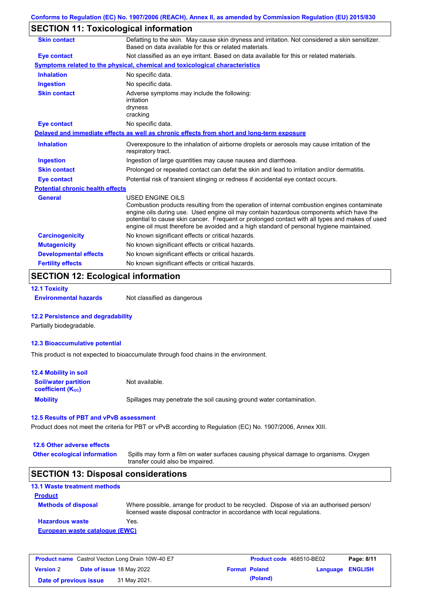# **SECTION 11: Toxicological information**

| <b>Skin contact</b>                     | Defatting to the skin. May cause skin dryness and irritation. Not considered a skin sensitizer.<br>Based on data available for this or related materials.                                                                                                                                                                                                                                                       |
|-----------------------------------------|-----------------------------------------------------------------------------------------------------------------------------------------------------------------------------------------------------------------------------------------------------------------------------------------------------------------------------------------------------------------------------------------------------------------|
| Eye contact                             | Not classified as an eye irritant. Based on data available for this or related materials.                                                                                                                                                                                                                                                                                                                       |
|                                         | Symptoms related to the physical, chemical and toxicological characteristics                                                                                                                                                                                                                                                                                                                                    |
| <b>Inhalation</b>                       | No specific data.                                                                                                                                                                                                                                                                                                                                                                                               |
| <b>Ingestion</b>                        | No specific data.                                                                                                                                                                                                                                                                                                                                                                                               |
| <b>Skin contact</b>                     | Adverse symptoms may include the following:<br>irritation<br>dryness<br>cracking                                                                                                                                                                                                                                                                                                                                |
| <b>Eye contact</b>                      | No specific data.                                                                                                                                                                                                                                                                                                                                                                                               |
|                                         | Delayed and immediate effects as well as chronic effects from short and long-term exposure                                                                                                                                                                                                                                                                                                                      |
| <b>Inhalation</b>                       | Overexposure to the inhalation of airborne droplets or aerosols may cause irritation of the<br>respiratory tract.                                                                                                                                                                                                                                                                                               |
| <b>Ingestion</b>                        | Ingestion of large quantities may cause nausea and diarrhoea.                                                                                                                                                                                                                                                                                                                                                   |
| <b>Skin contact</b>                     | Prolonged or repeated contact can defat the skin and lead to irritation and/or dermatitis.                                                                                                                                                                                                                                                                                                                      |
| <b>Eye contact</b>                      | Potential risk of transient stinging or redness if accidental eye contact occurs.                                                                                                                                                                                                                                                                                                                               |
| <b>Potential chronic health effects</b> |                                                                                                                                                                                                                                                                                                                                                                                                                 |
| <b>General</b>                          | <b>USED ENGINE OILS</b><br>Combustion products resulting from the operation of internal combustion engines contaminate<br>engine oils during use. Used engine oil may contain hazardous components which have the<br>potential to cause skin cancer. Frequent or prolonged contact with all types and makes of used<br>engine oil must therefore be avoided and a high standard of personal hygiene maintained. |
| <b>Carcinogenicity</b>                  | No known significant effects or critical hazards.                                                                                                                                                                                                                                                                                                                                                               |
| <b>Mutagenicity</b>                     | No known significant effects or critical hazards.                                                                                                                                                                                                                                                                                                                                                               |
| <b>Developmental effects</b>            | No known significant effects or critical hazards.                                                                                                                                                                                                                                                                                                                                                               |
| <b>Fertility effects</b>                | No known significant effects or critical hazards.                                                                                                                                                                                                                                                                                                                                                               |

# **SECTION 12: Ecological information**

**12.1 Toxicity**

**Environmental hazards** Not classified as dangerous

#### **12.2 Persistence and degradability**

Partially biodegradable.

#### **12.3 Bioaccumulative potential**

This product is not expected to bioaccumulate through food chains in the environment.

| <b>12.4 Mobility in soil</b>                                  |                                                                      |
|---------------------------------------------------------------|----------------------------------------------------------------------|
| <b>Soil/water partition</b><br>coefficient (K <sub>oc</sub> ) | Not available.                                                       |
| <b>Mobility</b>                                               | Spillages may penetrate the soil causing ground water contamination. |

#### **12.5 Results of PBT and vPvB assessment**

Product does not meet the criteria for PBT or vPvB according to Regulation (EC) No. 1907/2006, Annex XIII.

#### **12.6 Other adverse effects**

**Other ecological information**

Spills may form a film on water surfaces causing physical damage to organisms. Oxygen transfer could also be impaired.

### **SECTION 13: Disposal considerations**

| <b>13.1 Waste treatment methods</b> |                                                                                                                                                                      |
|-------------------------------------|----------------------------------------------------------------------------------------------------------------------------------------------------------------------|
| <b>Product</b>                      |                                                                                                                                                                      |
| <b>Methods of disposal</b>          | Where possible, arrange for product to be recycled. Dispose of via an authorised person/<br>licensed waste disposal contractor in accordance with local regulations. |
| <b>Hazardous waste</b>              | Yes.                                                                                                                                                                 |
| European waste catalogue (EWC)      |                                                                                                                                                                      |

| <b>Product name</b> Castrol Vecton Long Drain 10W-40 E7 |  |                                  | Product code 468510-BE02 | Page: 8/11           |                  |  |
|---------------------------------------------------------|--|----------------------------------|--------------------------|----------------------|------------------|--|
| <b>Version 2</b>                                        |  | <b>Date of issue 18 May 2022</b> |                          | <b>Format Poland</b> | Language ENGLISH |  |
| Date of previous issue                                  |  | 31 May 2021.                     |                          | (Poland)             |                  |  |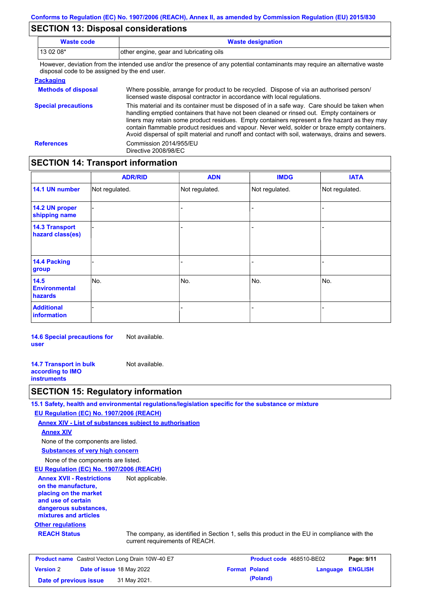### **SECTION 13: Disposal considerations**

| <b>Waste code</b> | <b>Waste designation</b>                                                                                                                            |
|-------------------|-----------------------------------------------------------------------------------------------------------------------------------------------------|
| $130208*$         | other engine, gear and lubricating oils                                                                                                             |
|                   | Thermonical collection forms that between the discussion of the contention of contentration and many manufacturers and the mathematics contribution |

However, deviation from the intended use and/or the presence of any potential contaminants may require an alternative waste disposal code to be assigned by the end user.

| <b>Packaging</b>           |                                                                                                                                                                                                                                                                                                                                                                                                                                                                                                 |
|----------------------------|-------------------------------------------------------------------------------------------------------------------------------------------------------------------------------------------------------------------------------------------------------------------------------------------------------------------------------------------------------------------------------------------------------------------------------------------------------------------------------------------------|
| <b>Methods of disposal</b> | Where possible, arrange for product to be recycled. Dispose of via an authorised person/<br>licensed waste disposal contractor in accordance with local regulations.                                                                                                                                                                                                                                                                                                                            |
| <b>Special precautions</b> | This material and its container must be disposed of in a safe way. Care should be taken when<br>handling emptied containers that have not been cleaned or rinsed out. Empty containers or<br>liners may retain some product residues. Empty containers represent a fire hazard as they may<br>contain flammable product residues and vapour. Never weld, solder or braze empty containers.<br>Avoid dispersal of spilt material and runoff and contact with soil, waterways, drains and sewers. |
| <b>References</b>          | Commission 2014/955/EU<br>Directive 2008/98/EC                                                                                                                                                                                                                                                                                                                                                                                                                                                  |

### **SECTION 14: Transport information**

|                                           | <b>ADR/RID</b> | <b>ADN</b>     | <b>IMDG</b>    | <b>IATA</b>    |
|-------------------------------------------|----------------|----------------|----------------|----------------|
| 14.1 UN number                            | Not regulated. | Not regulated. | Not regulated. | Not regulated. |
| 14.2 UN proper<br>shipping name           |                |                | -              |                |
| <b>14.3 Transport</b><br>hazard class(es) |                |                | -              |                |
| <b>14.4 Packing</b><br>group              |                |                | -              |                |
| 14.5<br><b>Environmental</b><br>hazards   | No.            | No.            | No.            | No.            |
| <b>Additional</b><br><b>information</b>   |                |                |                |                |

**14.6 Special precautions for user** Not available.

**14.7 Transport in bulk according to IMO instruments** Not available.

### **SECTION 15: Regulatory information**

**15.1 Safety, health and environmental regulations/legislation specific for the substance or mixture**

**EU Regulation (EC) No. 1907/2006 (REACH)**

**Annex XIV - List of substances subject to authorisation**

**Annex XIV**

None of the components are listed.

**Substances of very high concern**

None of the components are listed.

**EU Regulation (EC) No. 1907/2006 (REACH)**

**Annex XVII - Restrictions on the manufacture, placing on the market and use of certain dangerous substances, mixtures and articles** Not applicable.

#### **Other regulations**

**REACH Status** The company, as identified in Section 1, sells this product in the EU in compliance with the current requirements of REACH.

| <b>Product name</b> Castrol Vecton Long Drain 10W-40 E7 |  |                                  | <b>Product code</b> 468510-BE02 | Page: 9/11           |                  |  |
|---------------------------------------------------------|--|----------------------------------|---------------------------------|----------------------|------------------|--|
| <b>Version 2</b>                                        |  | <b>Date of issue 18 May 2022</b> |                                 | <b>Format Poland</b> | Language ENGLISH |  |
| Date of previous issue                                  |  | 31 May 2021.                     |                                 | (Poland)             |                  |  |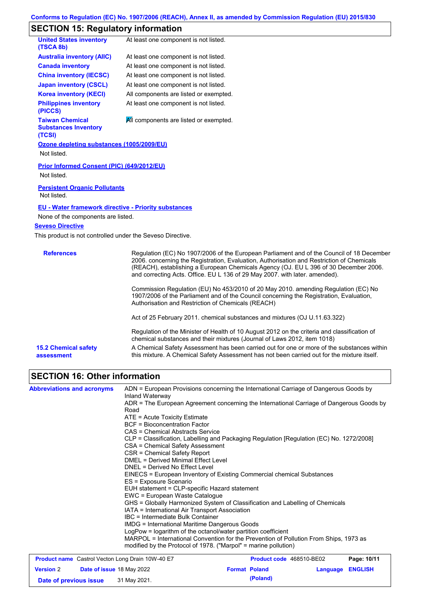#### **Conforms to Regulation (EC) No. 1907/2006 (REACH), Annex II, as amended by Commission Regulation (EU) 2015/830**

## **SECTION 15: Regulatory information**

| <b>United States inventory</b><br>(TSCA 8b)                     | At least one component is not listed.                                                                                                                                                                                                                                           |
|-----------------------------------------------------------------|---------------------------------------------------------------------------------------------------------------------------------------------------------------------------------------------------------------------------------------------------------------------------------|
| <b>Australia inventory (AIIC)</b>                               | At least one component is not listed.                                                                                                                                                                                                                                           |
| <b>Canada inventory</b>                                         | At least one component is not listed.                                                                                                                                                                                                                                           |
| <b>China inventory (IECSC)</b>                                  | At least one component is not listed.                                                                                                                                                                                                                                           |
| <b>Japan inventory (CSCL)</b>                                   | At least one component is not listed.                                                                                                                                                                                                                                           |
| <b>Korea inventory (KECI)</b>                                   | All components are listed or exempted.                                                                                                                                                                                                                                          |
| <b>Philippines inventory</b><br>(PICCS)                         | At least one component is not listed.                                                                                                                                                                                                                                           |
| <b>Taiwan Chemical</b><br><b>Substances Inventory</b><br>(TCSI) | All components are listed or exempted.                                                                                                                                                                                                                                          |
| Ozone depleting substances (1005/2009/EU)                       |                                                                                                                                                                                                                                                                                 |
| Not listed.                                                     |                                                                                                                                                                                                                                                                                 |
| Prior Informed Consent (PIC) (649/2012/EU)<br>Not listed.       |                                                                                                                                                                                                                                                                                 |
| <b>Persistent Organic Pollutants</b><br>Not listed.             |                                                                                                                                                                                                                                                                                 |
| EU - Water framework directive - Priority substances            |                                                                                                                                                                                                                                                                                 |
| None of the components are listed.                              |                                                                                                                                                                                                                                                                                 |
| <b>Seveso Directive</b>                                         |                                                                                                                                                                                                                                                                                 |
| This product is not controlled under the Seveso Directive.      |                                                                                                                                                                                                                                                                                 |
| <b>References</b>                                               | Regulation (EC) No 1907/2006 of the European Parliament and of the Council of 18 December<br>2006. concerning the Registration, Evaluation, Authorisation and Restriction of Chemicals<br>$(DFAP1)$ establishing a Furencen Chamisele Agency (O.L. FULL 200 of 20 December 2000 |

on, Authorisation and Restriction of Chemicals (REACH), establishing a European Chemicals Agency (OJ. EU L 396 of 30 December 2006. and correcting Acts. Office. EU L 136 of 29 May 2007. with later. amended). Commission Regulation (EU) No 453/2010 of 20 May 2010. amending Regulation (EC) No 1907/2006 of the Parliament and of the Council concerning the Registration, Evaluation, Authorisation and Restriction of Chemicals (REACH) Act of 25 February 2011. chemical substances and mixtures (OJ U.11.63.322) Regulation of the Minister of Health of 10 August 2012 on the criteria and classification of chemical substances and their mixtures (Journal of Laws 2012, item 1018) **15.2 Chemical safety**  A Chemical Safety Assessment has been carried out for one or more of the substances within

this mixture. A Chemical Safety Assessment has not been carried out for the mixture itself.

# **SECTION 16: Other information**

**assessment**

| <b>Abbreviations and acronyms</b> | ADN = European Provisions concerning the International Carriage of Dangerous Goods by<br>Inland Waterway                                                 |
|-----------------------------------|----------------------------------------------------------------------------------------------------------------------------------------------------------|
|                                   | ADR = The European Agreement concerning the International Carriage of Dangerous Goods by<br>Road                                                         |
|                                   | $ATE = Acute Toxicity Estimate$                                                                                                                          |
|                                   | <b>BCF</b> = Bioconcentration Factor                                                                                                                     |
|                                   | CAS = Chemical Abstracts Service                                                                                                                         |
|                                   | CLP = Classification, Labelling and Packaging Regulation [Regulation (EC) No. 1272/2008]                                                                 |
|                                   | CSA = Chemical Safety Assessment                                                                                                                         |
|                                   | CSR = Chemical Safety Report                                                                                                                             |
|                                   | <b>DMEL = Derived Minimal Effect Level</b>                                                                                                               |
|                                   | DNEL = Derived No Effect Level                                                                                                                           |
|                                   | EINECS = European Inventory of Existing Commercial chemical Substances                                                                                   |
|                                   | ES = Exposure Scenario                                                                                                                                   |
|                                   | EUH statement = CLP-specific Hazard statement                                                                                                            |
|                                   | EWC = European Waste Catalogue                                                                                                                           |
|                                   | GHS = Globally Harmonized System of Classification and Labelling of Chemicals                                                                            |
|                                   | IATA = International Air Transport Association                                                                                                           |
|                                   | IBC = Intermediate Bulk Container                                                                                                                        |
|                                   | IMDG = International Maritime Dangerous Goods                                                                                                            |
|                                   | LogPow = logarithm of the octanol/water partition coefficient                                                                                            |
|                                   | MARPOL = International Convention for the Prevention of Pollution From Ships, 1973 as<br>modified by the Protocol of 1978. ("Marpol" = marine pollution) |

| <b>Product name</b> Castrol Vecton Long Drain 10W-40 E7 |  |                                  | <b>Product code</b> 468510-BE02 | Page: 10/11          |                         |  |
|---------------------------------------------------------|--|----------------------------------|---------------------------------|----------------------|-------------------------|--|
| <b>Version 2</b>                                        |  | <b>Date of issue 18 May 2022</b> |                                 | <b>Format Poland</b> | <b>Language ENGLISH</b> |  |
| Date of previous issue                                  |  | 31 May 2021.                     |                                 | (Poland)             |                         |  |